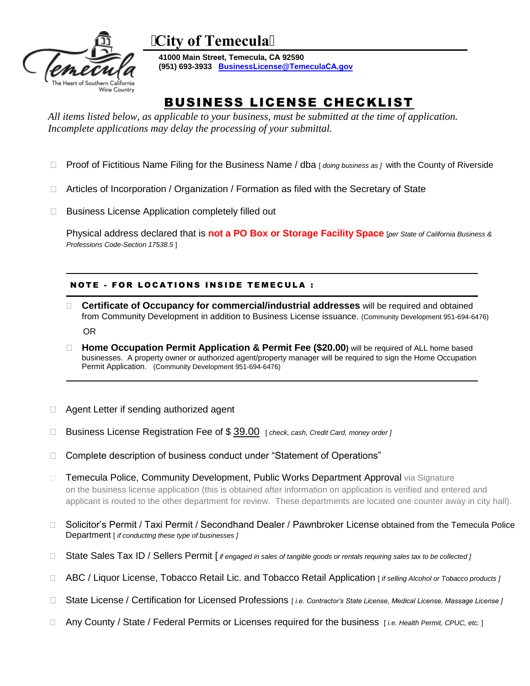

**City of Temecula**

**41000 Main Street, Temecula, CA 92590 (951) 693-3933 BusinessLicense@TemeculaCA.gov**

# BUSINESS LICENSE CHECKLIST

 *All items listed below, as applicable to your business, must be submitted at the time of application. Incomplete applications may delay the processing of your submittal.* 

- □ Proof of Fictitious Name Filing for the Business Name / dba *[ doing business as ]* with the County of Riverside
- Articles of Incorporation / Organization / Formation as filed with the Secretary of State
- □ Business License Application completely filled out

Physical address declared that is **not a PO Box or Storage Facility Space** [*per State of California Business & Professions Code-Section 17538.5* ]

## NOTE - FOR LOCATIONS INSIDE TEMECULA :

- **Certificate of Occupancy for commercial/industrial addresses** will be required and obtained from Community Development in addition to Business License issuance. (Community Development 951-694-6476) OR
- **Home Occupation Permit Application & Permit Fee (\$20.00)** will be required of ALL home based businesses. A property owner or authorized agent/property manager will be required to sign the Home Occupation Permit Application. (Community Development 951-694-6476)
- □ Agent Letter if sending authorized agent
- Business License Registration Fee of \$ 39.00 [ *check, cash, Credit Card, money order ]*
- □ Complete description of business conduct under "Statement of Operations"
- □ Temecula Police, Community Development, Public Works Department Approval via Signature on the business license application (this is obtained after information on application is verified and entered and applicant is routed to the other department for review. These departments are located one counter away in city hall).
- □ Solicitor's Permit / Taxi Permit / Secondhand Dealer / Pawnbroker License obtained from the Temecula Police Department [ *if conducting these type of businesses ]*
- State Sales Tax ID / Sellers Permit [ *if engaged in sales of tangible goods or rentals requiring sales tax to be collected ]*
- ABC / Liquor License, Tobacco Retail Lic. and Tobacco Retail Application [ *if selling Alcohol or Tobacco products ]*
- State License / Certification for Licensed Professions [ *i.e. Contractor's State License, Medical License, Massage License ]*
- Any County / State / Federal Permits or Licenses required for the business [ *i.e. Health Permit, CPUC, etc.* ]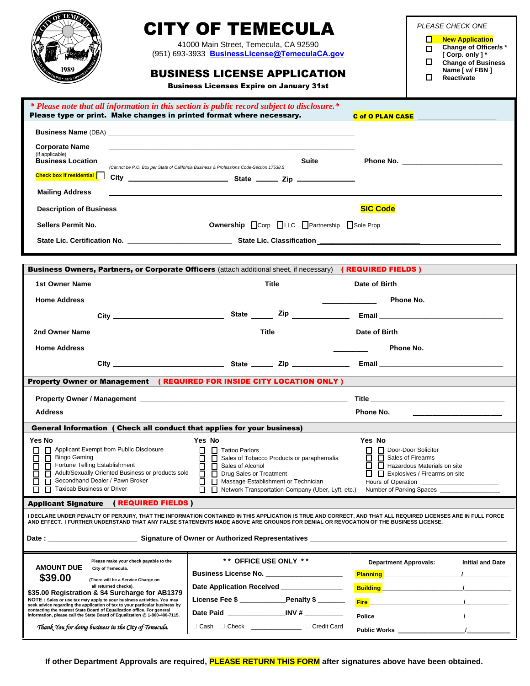|                                                   |                                                                                                                                                                                                               | CITY OF TEMECULA                                                                                                                                                     |                                                          | PLEASE CHECK ONE                                                                                                      |
|---------------------------------------------------|---------------------------------------------------------------------------------------------------------------------------------------------------------------------------------------------------------------|----------------------------------------------------------------------------------------------------------------------------------------------------------------------|----------------------------------------------------------|-----------------------------------------------------------------------------------------------------------------------|
|                                                   |                                                                                                                                                                                                               |                                                                                                                                                                      |                                                          | <b>New Application</b><br>◻                                                                                           |
|                                                   |                                                                                                                                                                                                               | 41000 Main Street. Temecula. CA 92590<br>(951) 693-3933 BusinessLicense@TemeculaCA.gov                                                                               |                                                          | Change of Officer/s*<br>п<br>[ Corp. only ] *                                                                         |
|                                                   |                                                                                                                                                                                                               |                                                                                                                                                                      |                                                          | П.<br><b>Change of Business</b>                                                                                       |
|                                                   |                                                                                                                                                                                                               | <b>BUSINESS LICENSE APPLICATION</b>                                                                                                                                  |                                                          | Name [ w/ FBN ]<br>П<br>Reactivate                                                                                    |
|                                                   |                                                                                                                                                                                                               | <b>Business Licenses Expire on January 31st</b>                                                                                                                      |                                                          |                                                                                                                       |
|                                                   |                                                                                                                                                                                                               | * Please note that all information in this section is public record subject to disclosure.*<br>Please type or print. Make changes in printed format where necessary. |                                                          | C of O PLAN CASE                                                                                                      |
|                                                   |                                                                                                                                                                                                               |                                                                                                                                                                      |                                                          |                                                                                                                       |
| <b>Corporate Name</b>                             |                                                                                                                                                                                                               |                                                                                                                                                                      |                                                          |                                                                                                                       |
| (if applicable)<br><b>Business Location</b>       |                                                                                                                                                                                                               |                                                                                                                                                                      |                                                          |                                                                                                                       |
| Check box if residential                          |                                                                                                                                                                                                               | (Cannot be P.O. Box per State of California Business & Professions Code-Section 17538.5                                                                              |                                                          |                                                                                                                       |
|                                                   |                                                                                                                                                                                                               |                                                                                                                                                                      |                                                          |                                                                                                                       |
| <b>Mailing Address</b>                            |                                                                                                                                                                                                               |                                                                                                                                                                      |                                                          |                                                                                                                       |
|                                                   |                                                                                                                                                                                                               |                                                                                                                                                                      |                                                          |                                                                                                                       |
|                                                   | Sellers Permit No. ___________________________                                                                                                                                                                | Ownership Corp LLC Partnership Sole Prop                                                                                                                             |                                                          |                                                                                                                       |
|                                                   |                                                                                                                                                                                                               |                                                                                                                                                                      |                                                          |                                                                                                                       |
|                                                   |                                                                                                                                                                                                               |                                                                                                                                                                      |                                                          |                                                                                                                       |
|                                                   |                                                                                                                                                                                                               | Business Owners, Partners, or Corporate Officers (attach additional sheet, if necessary) (REQUIRED FIELDS)                                                           |                                                          |                                                                                                                       |
|                                                   |                                                                                                                                                                                                               |                                                                                                                                                                      |                                                          |                                                                                                                       |
| <b>Home Address</b>                               |                                                                                                                                                                                                               |                                                                                                                                                                      |                                                          |                                                                                                                       |
|                                                   |                                                                                                                                                                                                               |                                                                                                                                                                      |                                                          |                                                                                                                       |
|                                                   |                                                                                                                                                                                                               |                                                                                                                                                                      |                                                          |                                                                                                                       |
|                                                   |                                                                                                                                                                                                               |                                                                                                                                                                      |                                                          |                                                                                                                       |
| <b>Home Address</b>                               |                                                                                                                                                                                                               |                                                                                                                                                                      |                                                          |                                                                                                                       |
|                                                   |                                                                                                                                                                                                               |                                                                                                                                                                      |                                                          |                                                                                                                       |
|                                                   |                                                                                                                                                                                                               | Property Owner or Management (REQUIRED FOR INSIDE CITY LOCATION ONLY)                                                                                                |                                                          |                                                                                                                       |
|                                                   |                                                                                                                                                                                                               |                                                                                                                                                                      | Title                                                    | the control of the control of the control of the control of the control of the control of                             |
|                                                   |                                                                                                                                                                                                               |                                                                                                                                                                      |                                                          |                                                                                                                       |
|                                                   |                                                                                                                                                                                                               | General Information ( Check all conduct that applies for your business)                                                                                              |                                                          |                                                                                                                       |
| Yes No                                            |                                                                                                                                                                                                               | Yes No                                                                                                                                                               | Yes No                                                   |                                                                                                                       |
| Π                                                 | Applicant Exempt from Public Disclosure                                                                                                                                                                       | Tattoo Parlors<br>П                                                                                                                                                  | □                                                        | Door-Door Solicitor                                                                                                   |
| <b>Bingo Gaming</b><br>$\Box$<br>□<br>□<br>$\Box$ | Fortune Telling Establishment                                                                                                                                                                                 | П.<br>Sales of Tobacco Products or paraphernalia<br>$\Box$<br>Sales of Alcohol                                                                                       | Sales of Firearms<br>$\Box$                              | Hazardous Materials on site                                                                                           |
| □                                                 | Adult/Sexually Oriented Business or products sold                                                                                                                                                             | $\Box$<br>Drug Sales or Treatment                                                                                                                                    |                                                          | $\Box$ $\Box$ Explosives / Firearms on site                                                                           |
| □<br>□<br>Taxicab Business or Driver<br>п         | Secondhand Dealer / Pawn Broker                                                                                                                                                                               | Massage Establishment or Technician<br>0<br>п.<br>Network Transportation Company (Uber, Lyft, etc.)                                                                  |                                                          | Number of Parking Spaces                                                                                              |
| <b>Applicant Signature</b>                        | (REQUIRED FIELDS)                                                                                                                                                                                             |                                                                                                                                                                      |                                                          |                                                                                                                       |
|                                                   |                                                                                                                                                                                                               | I DECLARE UNDER PENALTY OF PERJURY, THAT THE INFORMATION CONTAINED IN THIS APPLICATION IS TRUE AND CORRECT, AND THAT ALL REQUIRED LICENSES ARE IN FULL FORCE         |                                                          |                                                                                                                       |
|                                                   |                                                                                                                                                                                                               | AND EFFECT. I FURTHER UNDERSTAND THAT ANY FALSE STATEMENTS MADE ABOVE ARE GROUNDS FOR DENIAL OR REVOCATION OF THE BUSINESS LICENSE.                                  |                                                          |                                                                                                                       |
|                                                   |                                                                                                                                                                                                               |                                                                                                                                                                      |                                                          |                                                                                                                       |
|                                                   | Please make your check payable to the                                                                                                                                                                         | ** OFFICE USE ONLY **                                                                                                                                                |                                                          |                                                                                                                       |
| <b>AMOUNT DUE</b>                                 | City of Temecula.                                                                                                                                                                                             | Business License No. _______________________                                                                                                                         | <b>Department Approvals:</b><br>Planning <b>Planning</b> | <b>Initial and Date</b>                                                                                               |
| \$39.00                                           | (There will be a Service Charge on<br>all returned checks).                                                                                                                                                   | Date Application Received ________________                                                                                                                           |                                                          |                                                                                                                       |
|                                                   |                                                                                                                                                                                                               |                                                                                                                                                                      |                                                          | <b>Building Contract Contract of the Contract of American Contract of American Contract of Contract of Contract O</b> |
|                                                   | \$35.00 Registration & \$4 Surcharge for AB1379                                                                                                                                                               |                                                                                                                                                                      |                                                          |                                                                                                                       |
|                                                   | NOTE : Sales or use tax may apply to your business activities. You may<br>seek advice regarding the application of tax to your particular business by                                                         | License Fee \$ __________Penalty \$ ______                                                                                                                           |                                                          |                                                                                                                       |
|                                                   | contacting the nearest State Board of Equalization office. For general<br>information, please call the State Board of Equalization @ 1-800-400-7115.<br>Thank You for doing business in the City of Temecula. | Cash Check Cash Check Card                                                                                                                                           |                                                          |                                                                                                                       |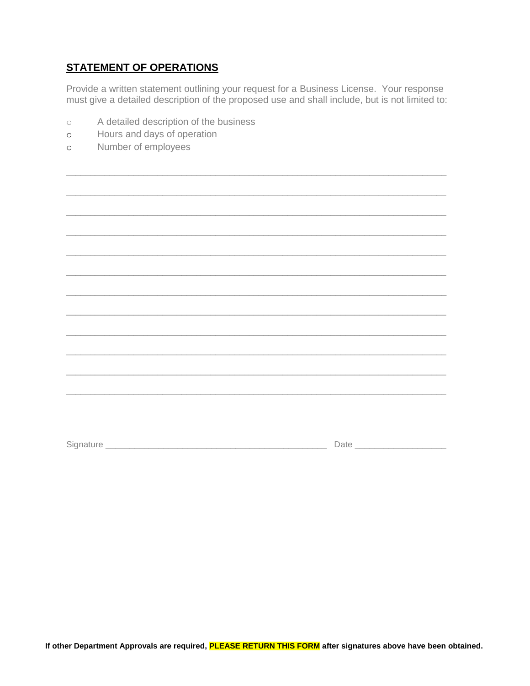# **STATEMENT OF OPERATIONS**

Provide a written statement outlining your request for a Business License. Your response must give a detailed description of the proposed use and shall include, but is not limited to:

- A detailed description of the business  $\circ$
- Hours and days of operation  $\circ$
- Number of employees  $\circ$

|  | the contract of the contract of the contract of the contract of the contract of the contract of |
|--|-------------------------------------------------------------------------------------------------|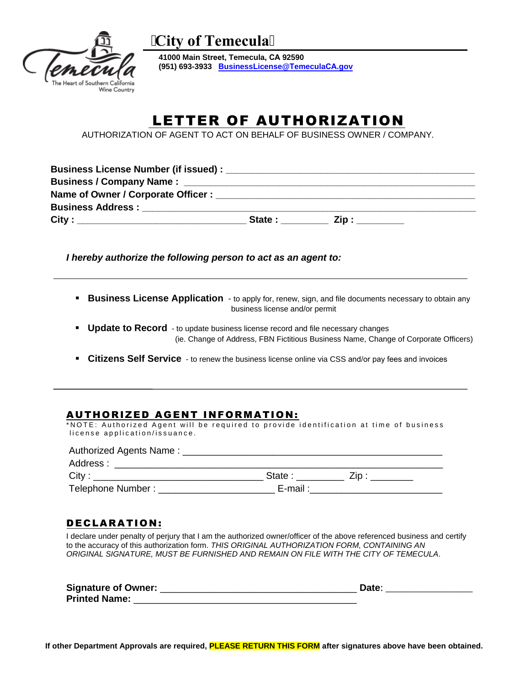

**City of Temecula**

**41000 Main Street, Temecula, CA 92590 (951) 693-3933 BusinessLicense@TemeculaCA.gov**

# LETTER OF AUTHORIZATION

AUTHORIZATION OF AGENT TO ACT ON BEHALF OF BUSINESS OWNER / COMPANY.

| Name of Owner / Corporate Officer : Name of Owner / Corporate Officer :                                                                                                                                                              |  |
|--------------------------------------------------------------------------------------------------------------------------------------------------------------------------------------------------------------------------------------|--|
| <b>Business Address: Exercise Services Services Services Services Services Services Services Services Services Services Services Services Services Services Services Services Services Services Services Services Services Servi</b> |  |
|                                                                                                                                                                                                                                      |  |

*I hereby authorize the following person to act as an agent to:* 

- **Business License Application** to apply for, renew, sign, and file documents necessary to obtain any business license and/or permit
- **Update to Record** to update business license record and file necessary changes (ie. Change of Address, FBN Fictitious Business Name, Change of Corporate Officers)
- **Citizens Self Service** to renew the business license online via CSS and/or pay fees and invoices

# AUTHORIZED AGENT INFORMATION:

\*NOTE: Authorized Agent will be required to provide identification at time of business license application/issuance.

| Authorized Agents Name: __ |          |  |
|----------------------------|----------|--|
| Address :                  |          |  |
| City:                      | State :  |  |
| Telephone Number:          | E-mail : |  |

## DECLARATION:

I declare under penalty of perjury that I am the authorized owner/officer of the above referenced business and certify to the accuracy of this authorization form. *THIS ORIGINAL AUTHORIZATION FORM, CONTAINING AN ORIGINAL SIGNATURE, MUST BE FURNISHED AND REMAIN ON FILE WITH THE CITY OF TEMECULA*.

| <b>Signature of Owner:</b> | Date |  |
|----------------------------|------|--|
| <b>Printed Name:</b>       |      |  |

**If other Department Approvals are required, PLEASE RETURN THIS FORM after signatures above have been obtained.**